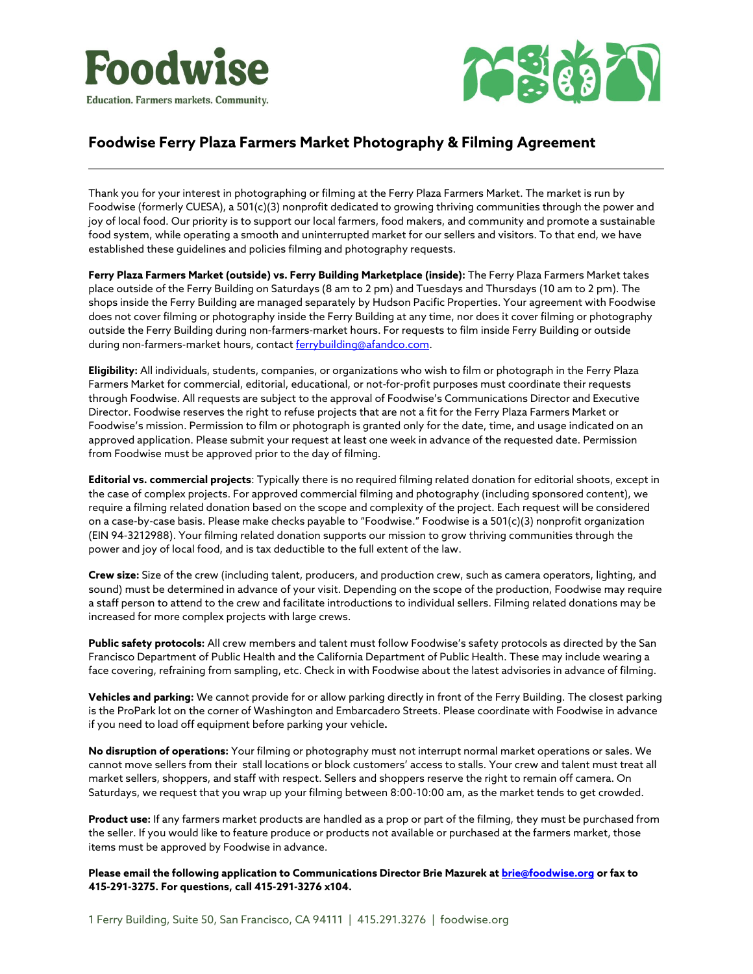



## **Foodwise Ferry Plaza Farmers Market Photography & Filming Agreement**

Thank you for your interest in photographing or filming at the Ferry Plaza Farmers Market. The market is run by Foodwise (formerly CUESA), a 501(c)(3) nonprofit dedicated to growing thriving communities through the power and joy of local food. Our priority is to support our local farmers, food makers, and community and promote a sustainable food system, while operating a smooth and uninterrupted market for our sellers and visitors. To that end, we have established these guidelines and policies filming and photography requests.

**Ferry Plaza Farmers Market (outside) vs. Ferry Building Marketplace (inside):** The Ferry Plaza Farmers Market takes place outside of the Ferry Building on Saturdays (8 am to 2 pm) and Tuesdays and Thursdays (10 am to 2 pm). The shops inside the Ferry Building are managed separately by Hudson Pacific Properties. Your agreement with Foodwise does not cover filming or photography inside the Ferry Building at any time, nor does it cover filming or photography outside the Ferry Building during non-farmers-market hours. For requests to film inside Ferry Building or outside during non-farmers-market hours, contact [ferrybuilding@afandco.com.](mailto:ferrybuilding@afandco.com)

**Eligibility:** All individuals, students, companies, or organizations who wish to film or photograph in the Ferry Plaza Farmers Market for commercial, editorial, educational, or not-for-profit purposes must coordinate their requests through Foodwise. All requests are subject to the approval of Foodwise's Communications Director and Executive Director. Foodwise reserves the right to refuse projects that are not a fit for the Ferry Plaza Farmers Market or Foodwise's mission. Permission to film or photograph is granted only for the date, time, and usage indicated on an approved application. Please submit your request at least one week in advance of the requested date. Permission from Foodwise must be approved prior to the day of filming.

**Editorial vs. commercial projects**: Typically there is no required filming related donation for editorial shoots, except in the case of complex projects. For approved commercial filming and photography (including sponsored content), we require a filming related donation based on the scope and complexity of the project. Each request will be considered on a case-by-case basis. Please make checks payable to "Foodwise." Foodwise is a 501(c)(3) nonprofit organization (EIN 94-3212988). Your filming related donation supports our mission to grow thriving communities through the power and joy of local food, and is tax deductible to the full extent of the law.

**Crew size:** Size of the crew (including talent, producers, and production crew, such as camera operators, lighting, and sound) must be determined in advance of your visit. Depending on the scope of the production, Foodwise may require a staff person to attend to the crew and facilitate introductions to individual sellers. Filming related donations may be increased for more complex projects with large crews.

**Public safety protocols:** All crew members and talent must follow Foodwise's safety protocols as directed by the San Francisco Department of Public Health and the California Department of Public Health. These may include wearing a face covering, refraining from sampling, etc. Check in with Foodwise about the latest advisories in advance of filming.

**Vehicles and parking:** We cannot provide for or allow parking directly in front of the Ferry Building. The closest parking is the ProPark lot on the corner of Washington and Embarcadero Streets. Please coordinate with Foodwise in advance if you need to load off equipment before parking your vehicle**.** 

**No disruption of operations:** Your filming or photography must not interrupt normal market operations or sales. We cannot move sellers from their stall locations or block customers' access to stalls. Your crew and talent must treat all market sellers, shoppers, and staff with respect. Sellers and shoppers reserve the right to remain off camera. On Saturdays, we request that you wrap up your filming between 8:00-10:00 am, as the market tends to get crowded.

**Product use:** If any farmers market products are handled as a prop or part of the filming, they must be purchased from the seller. If you would like to feature produce or products not available or purchased at the farmers market, those items must be approved by Foodwise in advance.

**Please email the following application to Communications Director Brie Mazurek at [brie@foodwise.org](mailto:brie@foodwise.org) or fax to 415-291-3275. For questions, call 415-291-3276 x104.**